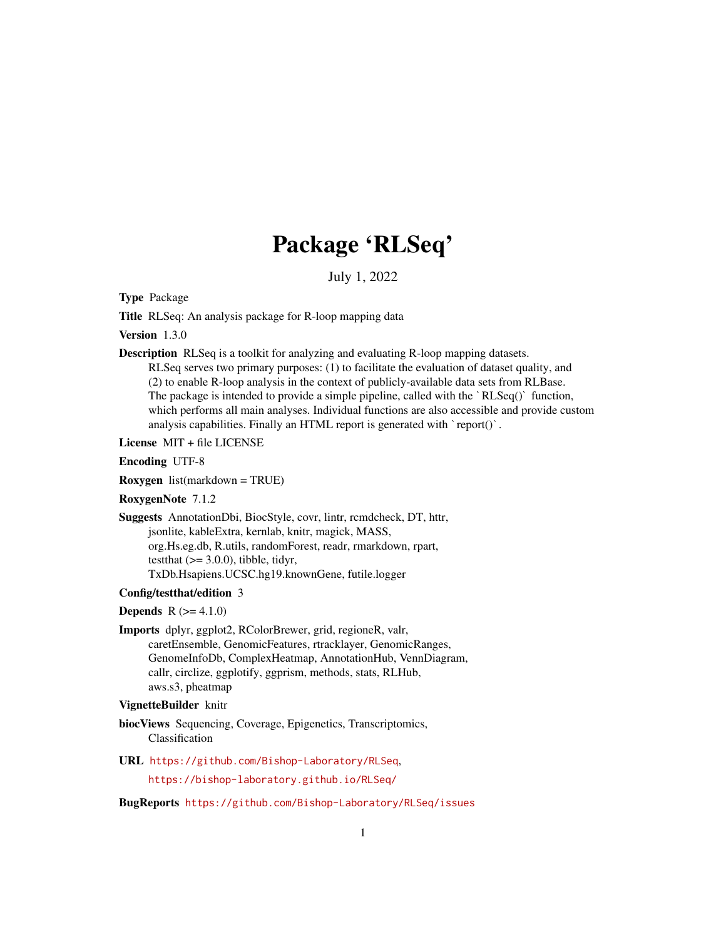# Package 'RLSeq'

July 1, 2022

<span id="page-0-0"></span>Type Package

Title RLSeq: An analysis package for R-loop mapping data

Version 1.3.0

Description RLSeq is a toolkit for analyzing and evaluating R-loop mapping datasets.

RLSeq serves two primary purposes: (1) to facilitate the evaluation of dataset quality, and (2) to enable R-loop analysis in the context of publicly-available data sets from RLBase. The package is intended to provide a simple pipeline, called with the `RLSeq()` function, which performs all main analyses. Individual functions are also accessible and provide custom ( $\angle$ ) to enable K-loop analysis in the context of publicly-available data sets if<br>The package is intended to provide a simple pipeline, called with the `RLS<br>which performs all main analyses. Individual functions are also

License MIT + file LICENSE

Encoding UTF-8

Roxygen list(markdown = TRUE)

RoxygenNote 7.1.2

Suggests AnnotationDbi, BiocStyle, covr, lintr, rcmdcheck, DT, httr, jsonlite, kableExtra, kernlab, knitr, magick, MASS, org.Hs.eg.db, R.utils, randomForest, readr, rmarkdown, rpart, testthat  $(>= 3.0.0)$ , tibble, tidyr, TxDb.Hsapiens.UCSC.hg19.knownGene, futile.logger

## Config/testthat/edition 3

**Depends**  $R (= 4.1.0)$ 

Imports dplyr, ggplot2, RColorBrewer, grid, regioneR, valr, caretEnsemble, GenomicFeatures, rtracklayer, GenomicRanges, GenomeInfoDb, ComplexHeatmap, AnnotationHub, VennDiagram, callr, circlize, ggplotify, ggprism, methods, stats, RLHub, aws.s3, pheatmap

## VignetteBuilder knitr

- biocViews Sequencing, Coverage, Epigenetics, Transcriptomics, Classification
- URL <https://github.com/Bishop-Laboratory/RLSeq>,

<https://bishop-laboratory.github.io/RLSeq/>

BugReports <https://github.com/Bishop-Laboratory/RLSeq/issues>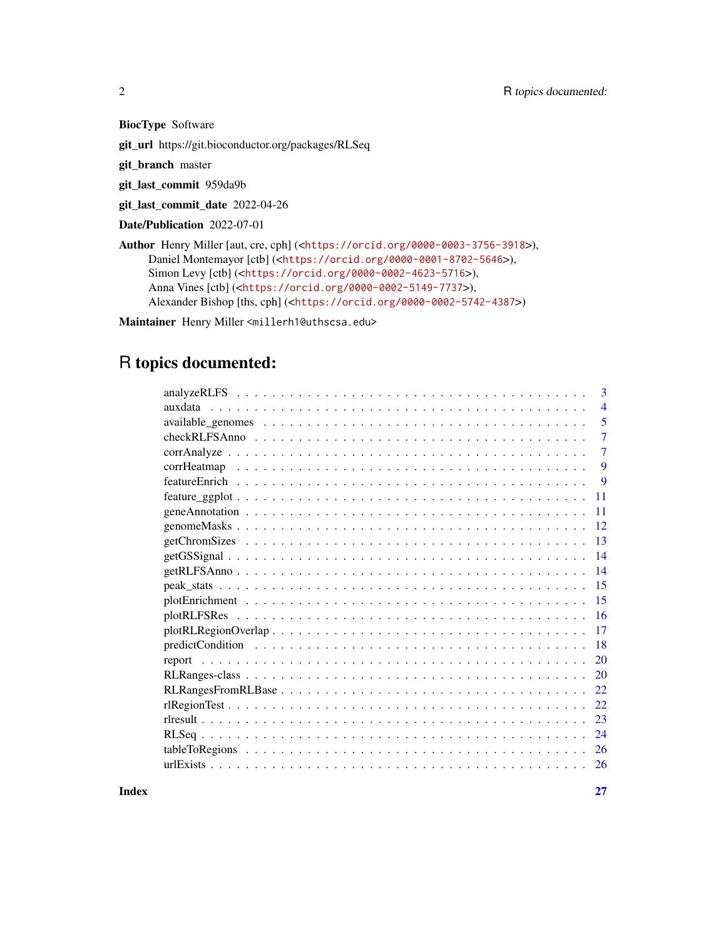BiocType Software

git\_url https://git.bioconductor.org/packages/RLSeq

git\_branch master

git\_last\_commit 959da9b

git\_last\_commit\_date 2022-04-26

Date/Publication 2022-07-01

Author Henry Miller [aut, cre, cph] (<<https://orcid.org/0000-0003-3756-3918>>), Daniel Montemayor [ctb] (<<https://orcid.org/0000-0001-8702-5646>>), Simon Levy [ctb] (<<https://orcid.org/0000-0002-4623-5716>>), Anna Vines [ctb] (<<https://orcid.org/0000-0002-5149-7737>>), Alexander Bishop [ths, cph] (<<https://orcid.org/0000-0002-5742-4387>>)

Maintainer Henry Miller <millerh1@uthscsa.edu>

## R topics documented:

|        | 3              |
|--------|----------------|
|        | $\overline{4}$ |
|        | 5              |
|        | $\overline{7}$ |
|        | $\overline{7}$ |
|        | 9              |
|        | 9              |
|        | 11             |
|        | 11             |
|        | 12             |
|        | 13             |
|        | 14             |
|        | 14             |
|        | 15             |
|        | 15             |
|        | 16             |
|        | 17             |
|        | 18             |
| report | 20             |
|        | 20             |
|        | 22             |
|        | 22             |
|        | 23             |
|        | 24             |
|        | 26             |
|        | 26             |
|        |                |

**Index** [27](#page-26-0)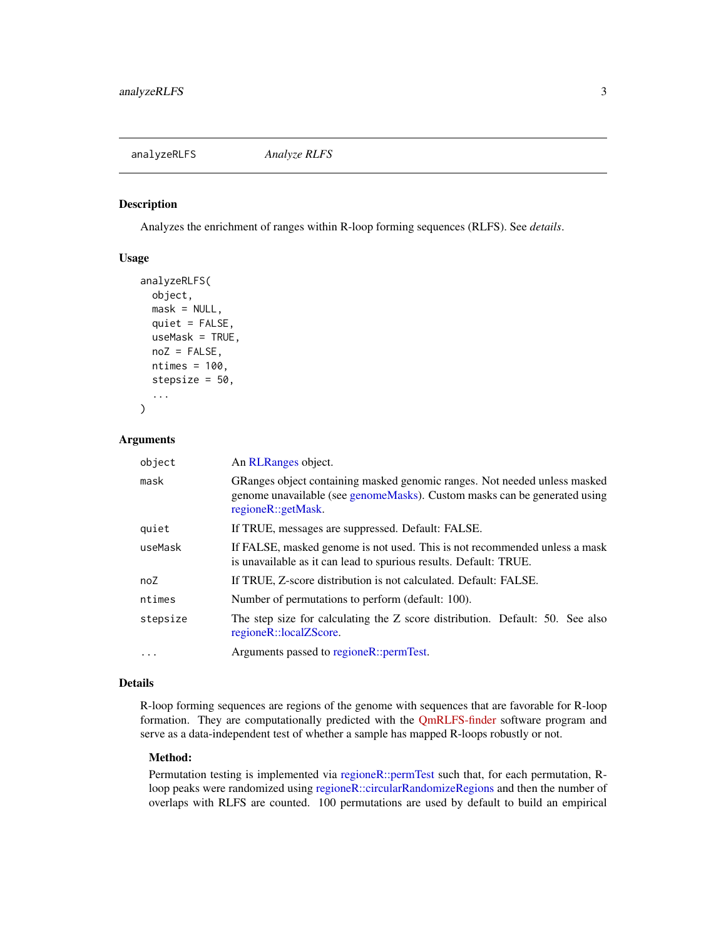#### <span id="page-2-1"></span><span id="page-2-0"></span>analyzeRLFS *Analyze RLFS*

## Description

Analyzes the enrichment of ranges within R-loop forming sequences (RLFS). See *details*.

## Usage

```
analyzeRLFS(
 object,
 mask = NULL,quiet = FALSE,
 useMask = TRUE,noZ = FALSE,
 ntimes = 100,
  stepsize = 50,
  ...
)
```
#### Arguments

| object   | An RLRanges object.                                                                                                                                                           |
|----------|-------------------------------------------------------------------------------------------------------------------------------------------------------------------------------|
| mask     | GRanges object containing masked genomic ranges. Not needed unless masked<br>genome unavailable (see genome Masks). Custom masks can be generated using<br>regioneR::getMask. |
| quiet    | If TRUE, messages are suppressed. Default: FALSE.                                                                                                                             |
| useMask  | If FALSE, masked genome is not used. This is not recommended unless a mask<br>is unavailable as it can lead to spurious results. Default: TRUE.                               |
| noZ      | If TRUE, Z-score distribution is not calculated. Default: FALSE.                                                                                                              |
| ntimes   | Number of permutations to perform (default: 100).                                                                                                                             |
| stepsize | The step size for calculating the Z score distribution. Default: 50. See also<br>regioneR::localZScore.                                                                       |
| .        | Arguments passed to regioneR::permTest.                                                                                                                                       |

## Details

R-loop forming sequences are regions of the genome with sequences that are favorable for R-loop formation. They are computationally predicted with the [QmRLFS-finder](https://github.com/piroonj/QmRLFS-finder) software program and serve as a data-independent test of whether a sample has mapped R-loops robustly or not.

#### Method:

Permutation testing is implemented via [regioneR::permTest](#page-0-0) such that, for each permutation, Rloop peaks were randomized using [regioneR::circularRandomizeRegions](#page-0-0) and then the number of overlaps with RLFS are counted. 100 permutations are used by default to build an empirical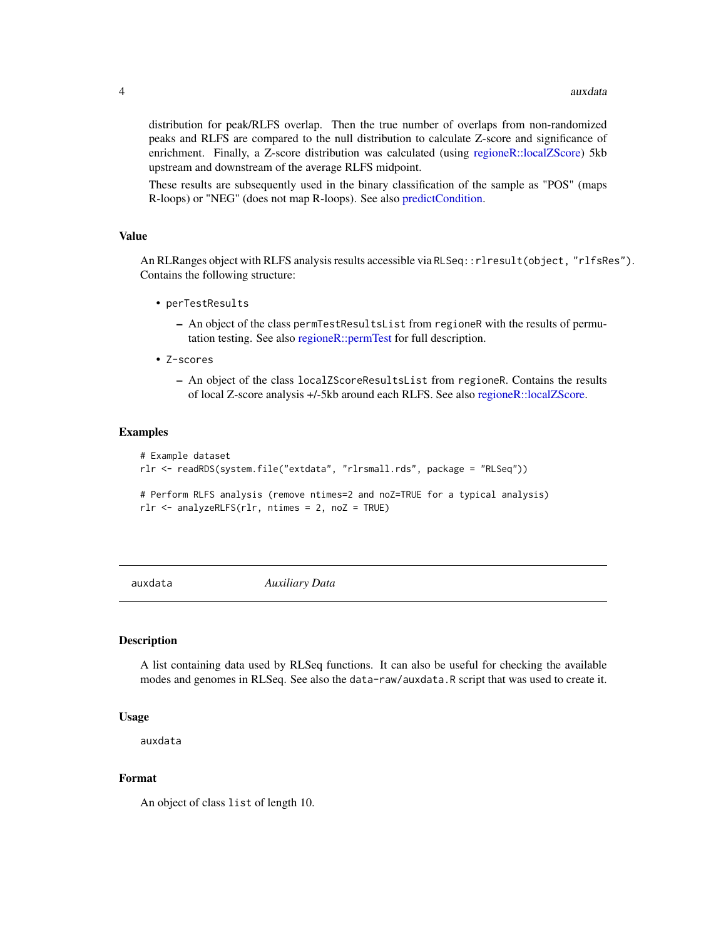<span id="page-3-0"></span>distribution for peak/RLFS overlap. Then the true number of overlaps from non-randomized peaks and RLFS are compared to the null distribution to calculate Z-score and significance of enrichment. Finally, a Z-score distribution was calculated (using [regioneR::localZScore\)](#page-0-0) 5kb upstream and downstream of the average RLFS midpoint.

These results are subsequently used in the binary classification of the sample as "POS" (maps R-loops) or "NEG" (does not map R-loops). See also [predictCondition.](#page-17-1)

## Value

An RLRanges object with RLFS analysis results accessible via RLSeq::rlresult(object, "rlfsRes"). Contains the following structure:

- perTestResults
	- An object of the class permTestResultsList from regioneR with the results of permutation testing. See also [regioneR::permTest](#page-0-0) for full description.
- Z-scores
	- An object of the class localZScoreResultsList from regioneR. Contains the results of local Z-score analysis +/-5kb around each RLFS. See also [regioneR::localZScore.](#page-0-0)

#### Examples

```
# Example dataset
```

```
rlr <- readRDS(system.file("extdata", "rlrsmall.rds", package = "RLSeq"))
```

```
# Perform RLFS analysis (remove ntimes=2 and noZ=TRUE for a typical analysis)
rlr <- analyzeRLFS(rlr, ntimes = 2, noZ = TRUE)
```
<span id="page-3-1"></span>

auxdata *Auxiliary Data*

#### **Description**

A list containing data used by RLSeq functions. It can also be useful for checking the available modes and genomes in RLSeq. See also the data-raw/auxdata.R script that was used to create it.

#### Usage

auxdata

#### Format

An object of class list of length 10.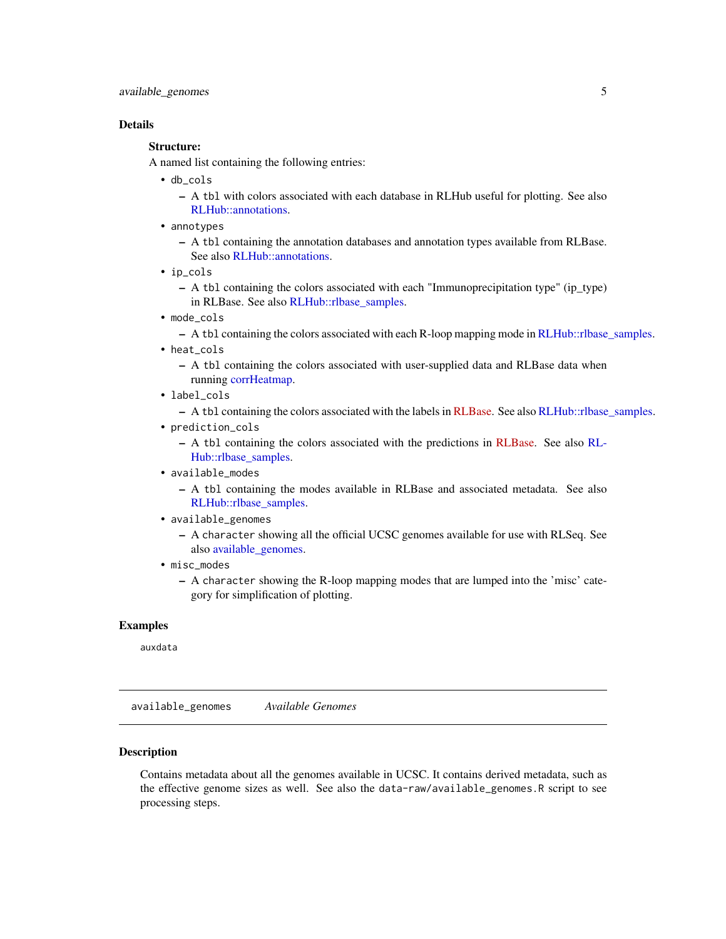## <span id="page-4-0"></span>**Details**

## Structure:

A named list containing the following entries:

- db\_cols
	- A tbl with colors associated with each database in RLHub useful for plotting. See also [RLHub::annotations.](#page-0-0)
- annotypes
	- A tbl containing the annotation databases and annotation types available from RLBase. See also [RLHub::annotations.](#page-0-0)
- ip\_cols
	- A tbl containing the colors associated with each "Immunoprecipitation type" (ip\_type) in RLBase. See also [RLHub::rlbase\\_samples.](#page-0-0)
- mode\_cols

– A tbl containing the colors associated with each R-loop mapping mode in [RLHub::rlbase\\_samples.](#page-0-0) • heat\_cols

- A tbl containing the colors associated with user-supplied data and RLBase data when running [corrHeatmap.](#page-8-1)
- label\_cols
	- A tbl containing the colors associated with the labels in [RLBase.](https://gccri.bishop-lab.uthscsa.edu/rlbase/) See also [RLHub::rlbase\\_samples.](#page-0-0)
- prediction\_cols
	- A tbl containing the colors associated with the predictions in [RLBase.](https://gccri.bishop-lab.uthscsa.edu/rlbase/) See also [RL-](#page-0-0)[Hub::rlbase\\_samples.](#page-0-0)
- available modes
	- A tbl containing the modes available in RLBase and associated metadata. See also [RLHub::rlbase\\_samples.](#page-0-0)
- available\_genomes
	- A character showing all the official UCSC genomes available for use with RLSeq. See also [available\\_genomes.](#page-4-1)
- misc\_modes
	- A character showing the R-loop mapping modes that are lumped into the 'misc' category for simplification of plotting.

## Examples

auxdata

<span id="page-4-1"></span>available\_genomes *Available Genomes*

## **Description**

Contains metadata about all the genomes available in UCSC. It contains derived metadata, such as the effective genome sizes as well. See also the data-raw/available\_genomes.R script to see processing steps.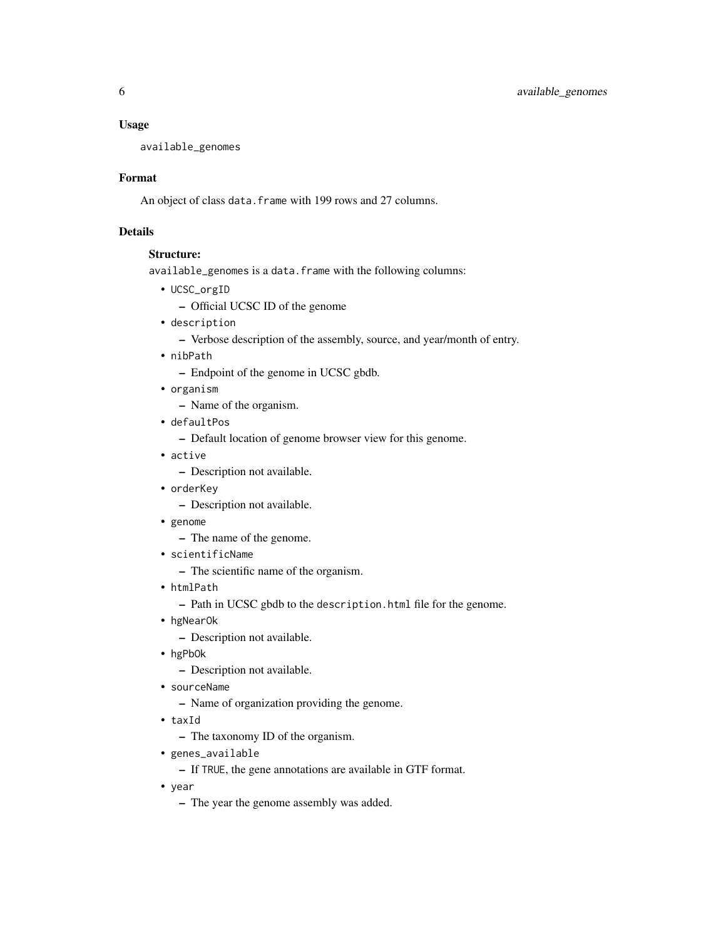#### Usage

available\_genomes

#### Format

An object of class data. frame with 199 rows and 27 columns.

## Details

## Structure:

available\_genomes is a data.frame with the following columns:

- UCSC\_orgID
	- Official UCSC ID of the genome
- description
	- Verbose description of the assembly, source, and year/month of entry.
- nibPath
	- Endpoint of the genome in UCSC gbdb.
- organism
	- Name of the organism.
- defaultPos
	- Default location of genome browser view for this genome.
- active
	- Description not available.
- orderKey
	- Description not available.
- genome
	- The name of the genome.
- scientificName
	- The scientific name of the organism.
- htmlPath
	- Path in UCSC gbdb to the description.html file for the genome.
- hgNearOk
	- Description not available.
- hgPbOk
	- Description not available.
- sourceName
	- Name of organization providing the genome.
- taxId
	- The taxonomy ID of the organism.
- genes\_available
	- If TRUE, the gene annotations are available in GTF format.
- year
	- The year the genome assembly was added.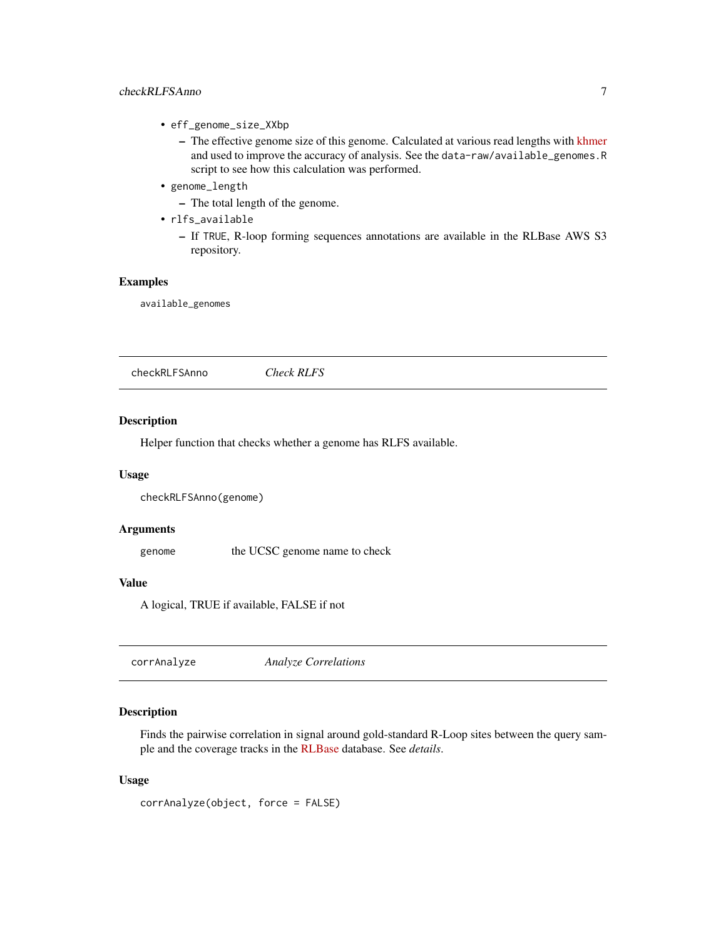- <span id="page-6-0"></span>• eff\_genome\_size\_XXbp
	- The effective genome size of this genome. Calculated at various read lengths with [khmer](https://khmer.readthedocs.io/en/latest/) and used to improve the accuracy of analysis. See the data-raw/available\_genomes.R script to see how this calculation was performed.
- genome\_length
	- The total length of the genome.
- rlfs\_available
	- If TRUE, R-loop forming sequences annotations are available in the RLBase AWS S3 repository.

#### Examples

available\_genomes

|--|

## Description

Helper function that checks whether a genome has RLFS available.

#### Usage

checkRLFSAnno(genome)

#### Arguments

genome the UCSC genome name to check

## Value

A logical, TRUE if available, FALSE if not

<span id="page-6-1"></span>

| <b>Analyze Correlations</b><br>corrAnalyze |
|--------------------------------------------|
|--------------------------------------------|

## Description

Finds the pairwise correlation in signal around gold-standard R-Loop sites between the query sample and the coverage tracks in the [RLBase](https://gccri.bishop-lab.uthscsa.edu/rlbase/) database. See *details*.

#### Usage

corrAnalyze(object, force = FALSE)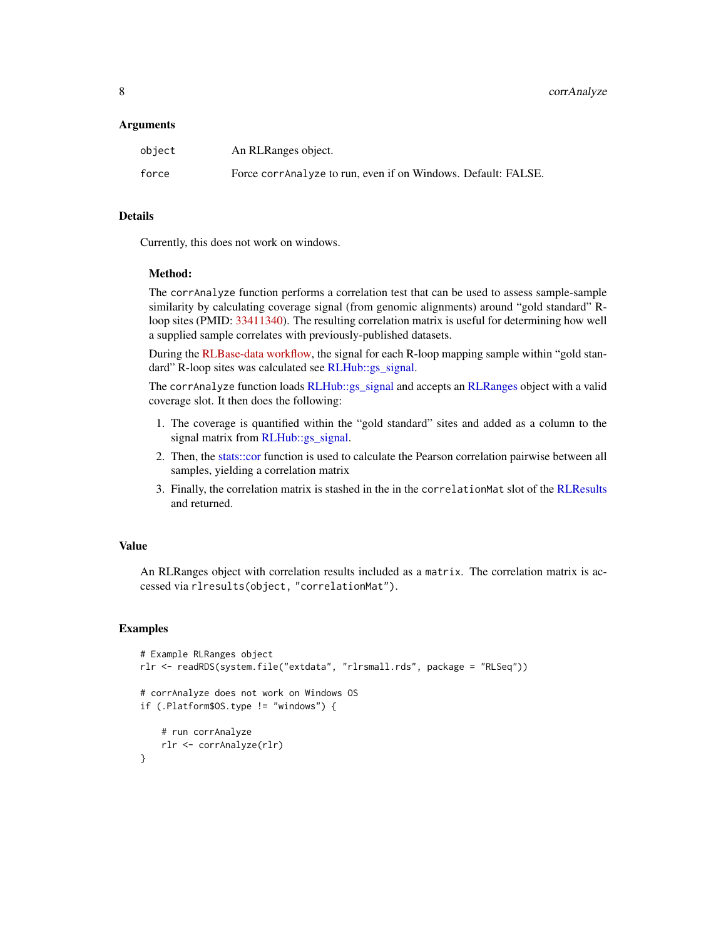#### <span id="page-7-0"></span>**Arguments**

| object | An RLRanges object.                                           |
|--------|---------------------------------------------------------------|
| force  | Force corranalyze to run, even if on Windows. Default: FALSE. |

#### Details

Currently, this does not work on windows.

#### Method:

The corrAnalyze function performs a correlation test that can be used to assess sample-sample similarity by calculating coverage signal (from genomic alignments) around "gold standard" Rloop sites (PMID: [33411340\)](https://pubmed.ncbi.nlm.nih.gov/33411340/). The resulting correlation matrix is useful for determining how well a supplied sample correlates with previously-published datasets.

During the [RLBase-data workflow,](https://github.com/Bishop-Laboratory/RLBase-data) the signal for each R-loop mapping sample within "gold standard" R-loop sites was calculated see [RLHub::gs\\_signal.](#page-0-0)

The corrAnalyze function loads [RLHub::gs\\_signal](#page-0-0) and accepts an [RLRanges](#page-19-1) object with a valid coverage slot. It then does the following:

- 1. The coverage is quantified within the "gold standard" sites and added as a column to the signal matrix from [RLHub::gs\\_signal.](#page-0-0)
- 2. Then, the [stats::cor](#page-0-0) function is used to calculate the Pearson correlation pairwise between all samples, yielding a correlation matrix
- 3. Finally, the correlation matrix is stashed in the in the correlationMat slot of the [RLResults](#page-22-1) and returned.

#### Value

An RLRanges object with correlation results included as a matrix. The correlation matrix is accessed via rlresults(object, "correlationMat").

```
# Example RLRanges object
rlr <- readRDS(system.file("extdata", "rlrsmall.rds", package = "RLSeq"))
# corrAnalyze does not work on Windows OS
if (.Platform$OS.type != "windows") {
    # run corrAnalyze
    rlr <- corrAnalyze(rlr)
}
```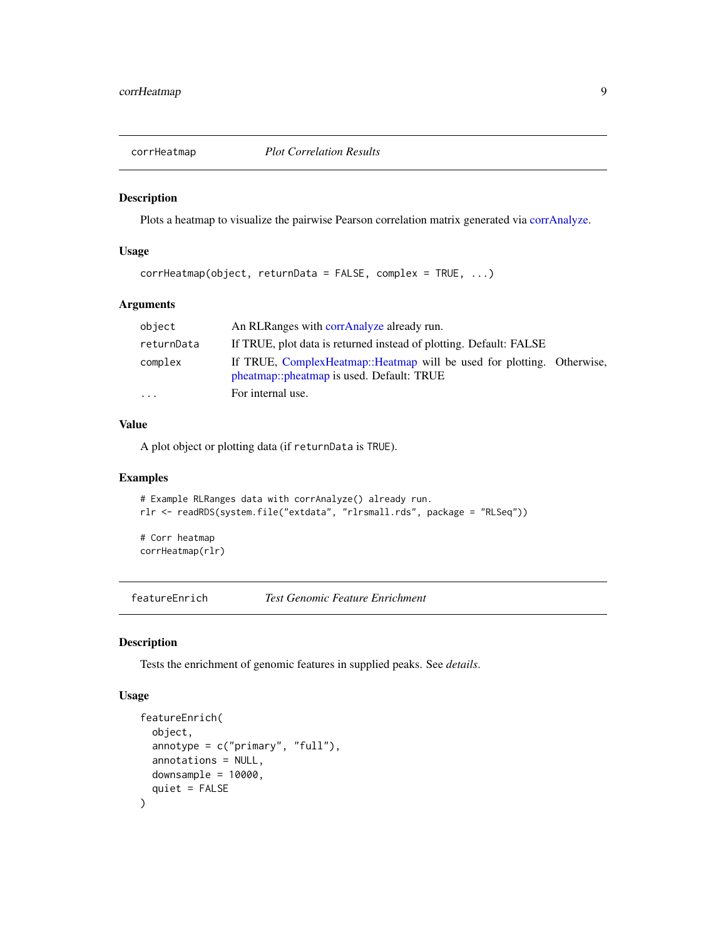<span id="page-8-1"></span><span id="page-8-0"></span>

#### Description

Plots a heatmap to visualize the pairwise Pearson correlation matrix generated via [corrAnalyze.](#page-6-1)

#### Usage

```
corrHeatmap(object, returnData = FALSE, complex = TRUE, ...)
```
#### Arguments

| object     | An RLRanges with corrAnalyze already run.                                                                           |  |
|------------|---------------------------------------------------------------------------------------------------------------------|--|
| returnData | If TRUE, plot data is returned instead of plotting. Default: FALSE                                                  |  |
| complex    | If TRUE, ComplexHeatmap::Heatmap will be used for plotting. Otherwise,<br>pheatmap::pheatmap is used. Default: TRUE |  |
| $\ddotsc$  | For internal use.                                                                                                   |  |

### Value

A plot object or plotting data (if returnData is TRUE).

## Examples

```
# Example RLRanges data with corrAnalyze() already run.
rlr <- readRDS(system.file("extdata", "rlrsmall.rds", package = "RLSeq"))
# Corr heatmap
```
corrHeatmap(rlr)

<span id="page-8-2"></span>featureEnrich *Test Genomic Feature Enrichment*

#### Description

Tests the enrichment of genomic features in supplied peaks. See *details*.

#### Usage

```
featureEnrich(
  object,
  annotype = c("primary", "full"),
  annotations = NULL,
  downsample = 10000,
  quiet = FALSE
\mathcal{E}
```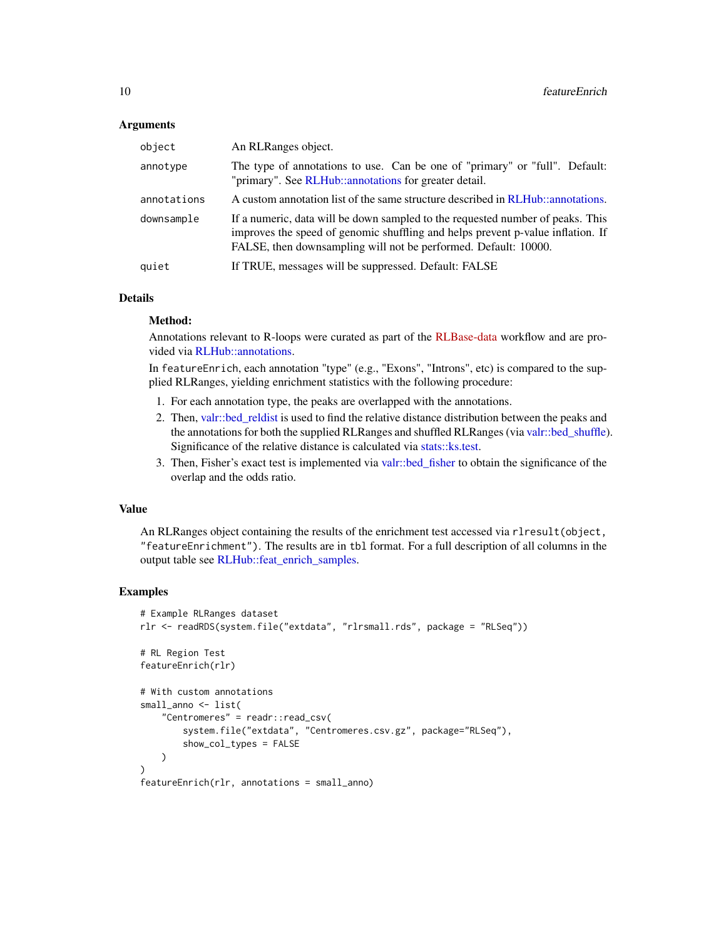#### <span id="page-9-0"></span>**Arguments**

| object      | An RLRanges object.                                                                                                                                                                                                                  |
|-------------|--------------------------------------------------------------------------------------------------------------------------------------------------------------------------------------------------------------------------------------|
| annotype    | The type of annotations to use. Can be one of "primary" or "full". Default:<br>"primary". See RLHub::annotations for greater detail.                                                                                                 |
| annotations | A custom annotation list of the same structure described in RLHub::annotations.                                                                                                                                                      |
| downsample  | If a numeric, data will be down sampled to the requested number of peaks. This<br>improves the speed of genomic shuffling and helps prevent p-value inflation. If<br>FALSE, then downsampling will not be performed. Default: 10000. |
| quiet       | If TRUE, messages will be suppressed. Default: FALSE                                                                                                                                                                                 |

## Details

## Method:

Annotations relevant to R-loops were curated as part of the [RLBase-data](https://github.com/Bishop-Laboratory/RLBase-data) workflow and are provided via [RLHub::annotations.](#page-0-0)

In featureEnrich, each annotation "type" (e.g., "Exons", "Introns", etc) is compared to the supplied RLRanges, yielding enrichment statistics with the following procedure:

- 1. For each annotation type, the peaks are overlapped with the annotations.
- 2. Then, [valr::bed\\_reldist](#page-0-0) is used to find the relative distance distribution between the peaks and the annotations for both the supplied RLRanges and shuffled RLRanges (via [valr::bed\\_shuffle\)](#page-0-0). Significance of the relative distance is calculated via [stats::ks.test.](#page-0-0)
- 3. Then, Fisher's exact test is implemented via [valr::bed\\_fisher](#page-0-0) to obtain the significance of the overlap and the odds ratio.

#### Value

An RLRanges object containing the results of the enrichment test accessed via rlresult(object, "featureEnrichment"). The results are in tbl format. For a full description of all columns in the output table see [RLHub::feat\\_enrich\\_samples.](#page-0-0)

```
# Example RLRanges dataset
rlr <- readRDS(system.file("extdata", "rlrsmall.rds", package = "RLSeq"))
# RL Region Test
featureEnrich(rlr)
# With custom annotations
small_anno <- list(
    "Centromeres" = readr::read_csv(
        system.file("extdata", "Centromeres.csv.gz", package="RLSeq"),
        show_col_types = FALSE
    \lambda)
featureEnrich(rlr, annotations = small_anno)
```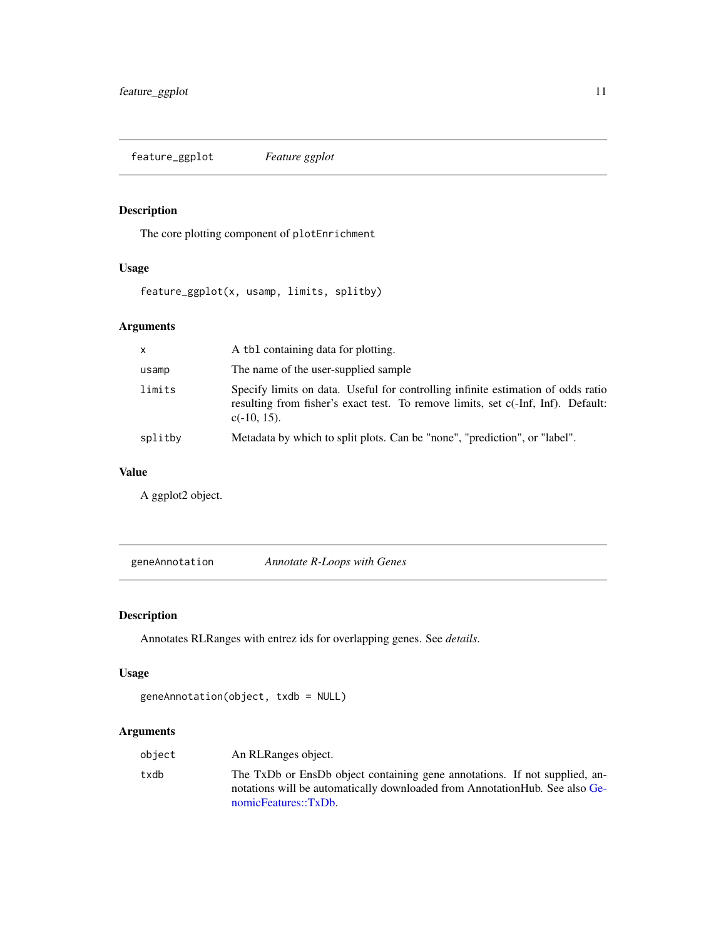<span id="page-10-0"></span>feature\_ggplot *Feature ggplot*

## Description

The core plotting component of plotEnrichment

## Usage

feature\_ggplot(x, usamp, limits, splitby)

## Arguments

| $\mathsf{x}$ | A tbl containing data for plotting.                                                                                                                                                    |
|--------------|----------------------------------------------------------------------------------------------------------------------------------------------------------------------------------------|
| usamp        | The name of the user-supplied sample                                                                                                                                                   |
| limits       | Specify limits on data. Useful for controlling infinite estimation of odds ratio<br>resulting from fisher's exact test. To remove limits, set c(-Inf, Inf). Default:<br>$c(-10, 15)$ . |
| splitby      | Metadata by which to split plots. Can be "none", "prediction", or "label".                                                                                                             |

## Value

A ggplot2 object.

<span id="page-10-1"></span>geneAnnotation *Annotate R-Loops with Genes*

## Description

Annotates RLRanges with entrez ids for overlapping genes. See *details*.

## Usage

```
geneAnnotation(object, txdb = NULL)
```
## Arguments

| object | An RLRanges object.                                                                                                                                                               |
|--------|-----------------------------------------------------------------------------------------------------------------------------------------------------------------------------------|
| txdb   | The TxDb or EnsDb object containing gene annotations. If not supplied, an-<br>notations will be automatically downloaded from AnnotationHub. See also Ge-<br>nomicFeatures::TxDb. |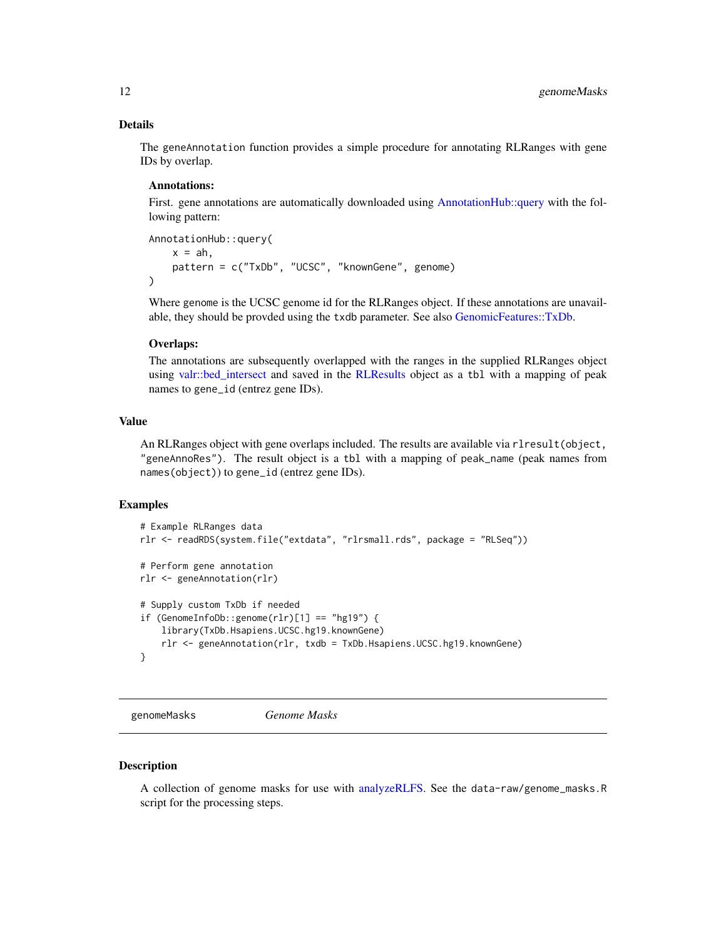## Details

The geneAnnotation function provides a simple procedure for annotating RLRanges with gene IDs by overlap.

### Annotations:

First. gene annotations are automatically downloaded using [AnnotationHub::query](#page-0-0) with the following pattern:

AnnotationHub::query(  $x = ah$ . pattern = c("TxDb", "UCSC", "knownGene", genome) )

Where genome is the UCSC genome id for the RLRanges object. If these annotations are unavailable, they should be provded using the txdb parameter. See also [GenomicFeatures::TxDb.](#page-0-0)

#### Overlaps:

The annotations are subsequently overlapped with the ranges in the supplied RLRanges object using [valr::bed\\_intersect](#page-0-0) and saved in the [RLResults](#page-22-1) object as a tbl with a mapping of peak names to gene\_id (entrez gene IDs).

#### Value

An RLRanges object with gene overlaps included. The results are available via rlresult(object, "geneAnnoRes"). The result object is a tbl with a mapping of peak\_name (peak names from names(object)) to gene\_id (entrez gene IDs).

#### Examples

```
# Example RLRanges data
rlr <- readRDS(system.file("extdata", "rlrsmall.rds", package = "RLSeq"))
# Perform gene annotation
rlr <- geneAnnotation(rlr)
# Supply custom TxDb if needed
if (GenomeInfoDb::genome(rlr)[1] == "hg19") {
   library(TxDb.Hsapiens.UCSC.hg19.knownGene)
    rlr <- geneAnnotation(rlr, txdb = TxDb.Hsapiens.UCSC.hg19.knownGene)
}
```
<span id="page-11-1"></span>genomeMasks *Genome Masks*

#### **Description**

A collection of genome masks for use with [analyzeRLFS.](#page-2-1) See the data-raw/genome\_masks.R script for the processing steps.

<span id="page-11-0"></span>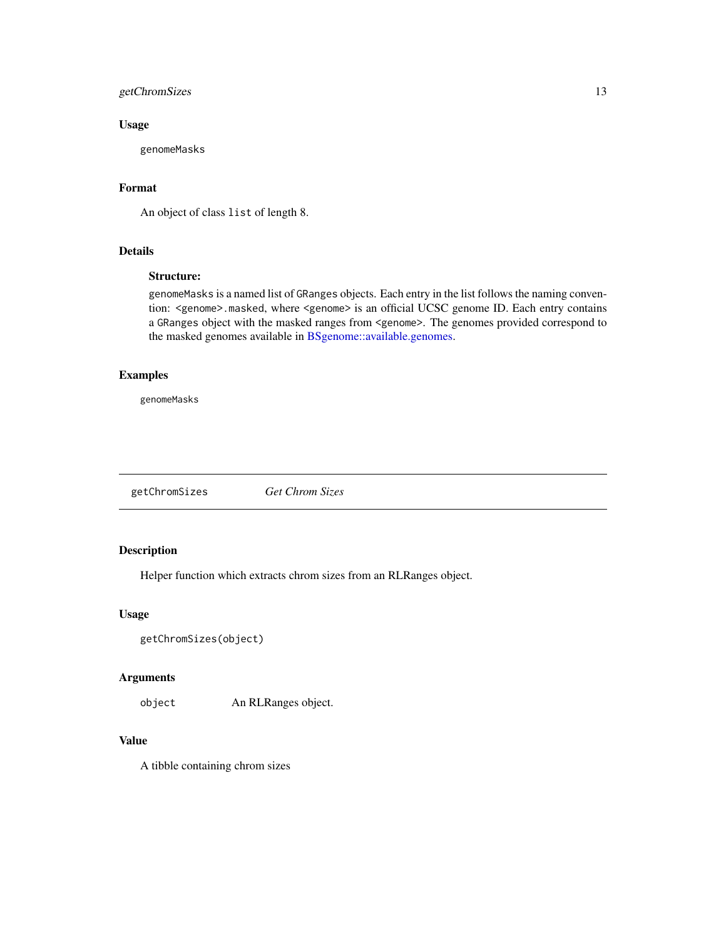## <span id="page-12-0"></span>getChromSizes 13

## Usage

genomeMasks

## Format

An object of class list of length 8.

## Details

## Structure:

genomeMasks is a named list of GRanges objects. Each entry in the list follows the naming convention: <genome>.masked, where <genome> is an official UCSC genome ID. Each entry contains a GRanges object with the masked ranges from <genome>. The genomes provided correspond to the masked genomes available in [BSgenome::available.genomes.](#page-0-0)

#### Examples

genomeMasks

getChromSizes *Get Chrom Sizes*

## Description

Helper function which extracts chrom sizes from an RLRanges object.

#### Usage

```
getChromSizes(object)
```
## Arguments

object An RLRanges object.

#### Value

A tibble containing chrom sizes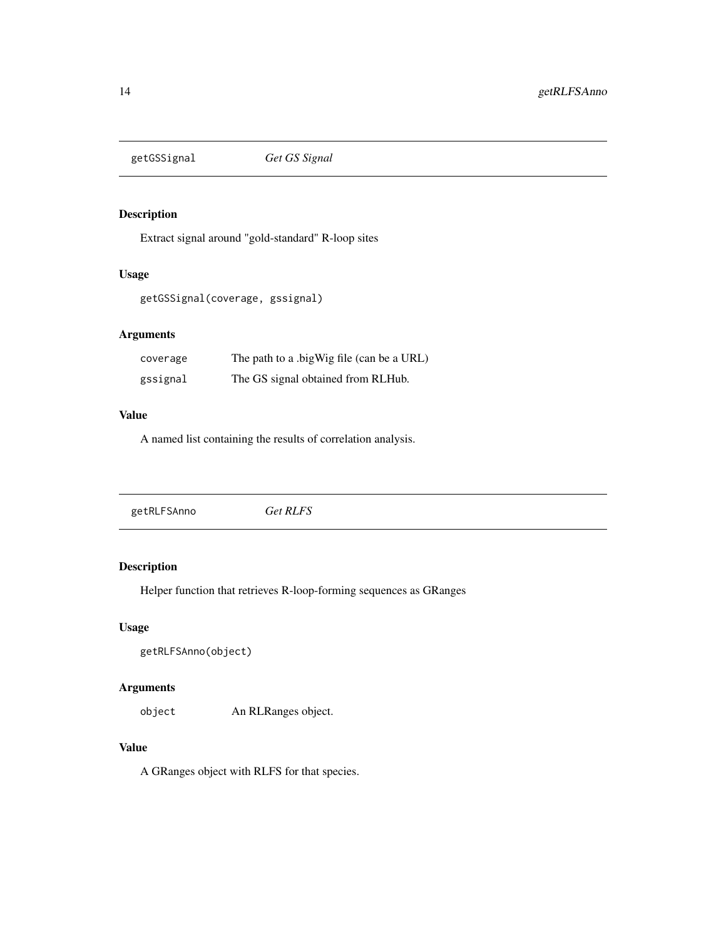<span id="page-13-0"></span>

## Description

Extract signal around "gold-standard" R-loop sites

## Usage

```
getGSSignal(coverage, gssignal)
```
## Arguments

| coverage | The path to a .bigWig file (can be a URL) |
|----------|-------------------------------------------|
| gssignal | The GS signal obtained from RLHub.        |

#### Value

A named list containing the results of correlation analysis.

|  |  | Get RLFS | getRLFSAnno |
|--|--|----------|-------------|
|--|--|----------|-------------|

## Description

Helper function that retrieves R-loop-forming sequences as GRanges

#### Usage

```
getRLFSAnno(object)
```
## Arguments

object An RLRanges object.

## Value

A GRanges object with RLFS for that species.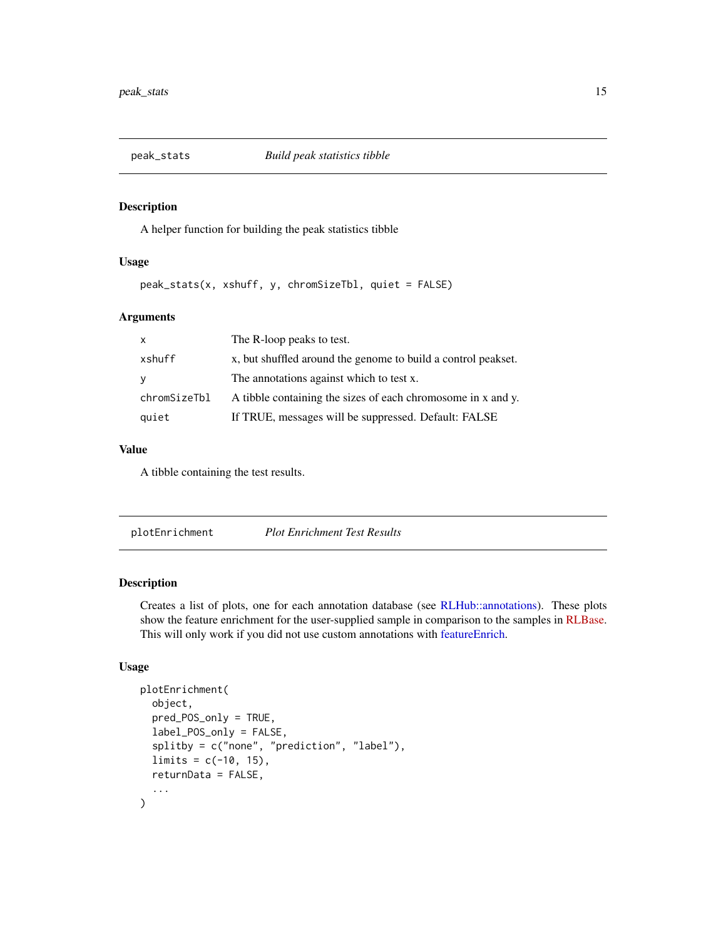<span id="page-14-0"></span>

#### Description

A helper function for building the peak statistics tibble

## Usage

peak\_stats(x, xshuff, y, chromSizeTbl, quiet = FALSE)

#### Arguments

| $\mathsf{x}$ | The R-loop peaks to test.                                     |
|--------------|---------------------------------------------------------------|
| xshuff       | x, but shuffled around the genome to build a control peakset. |
|              | The annotations against which to test x.                      |
| chromSizeTbl | A tibble containing the sizes of each chromosome in x and y.  |
| quiet        | If TRUE, messages will be suppressed. Default: FALSE          |

## Value

A tibble containing the test results.

plotEnrichment *Plot Enrichment Test Results*

## Description

Creates a list of plots, one for each annotation database (see [RLHub::annotations\)](#page-0-0). These plots show the feature enrichment for the user-supplied sample in comparison to the samples in [RLBase.](https://gccri.bishop-lab.uthscsa.edu/rlbase/) This will only work if you did not use custom annotations with [featureEnrich.](#page-8-2)

#### Usage

```
plotEnrichment(
  object,
  pred_POS_only = TRUE,
  label_POS_only = FALSE,
  splitby = c("none", "prediction", "label"),
  limits = c(-10, 15),
  returnData = FALSE,
  ...
\mathcal{E}
```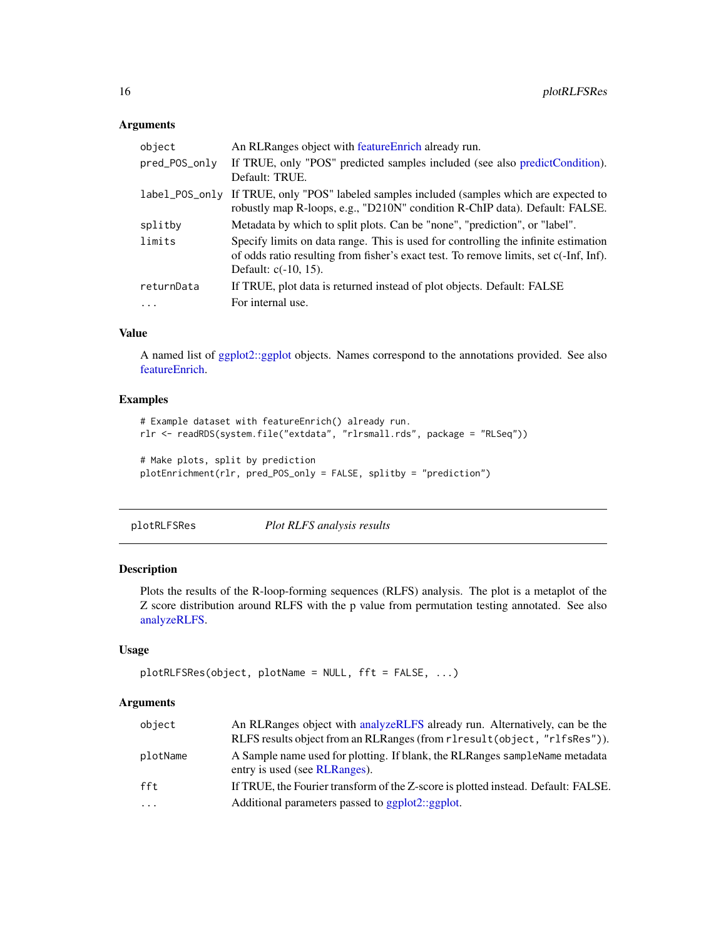## <span id="page-15-0"></span>Arguments

| An RLRanges object with feature Enrich already run.                                   |
|---------------------------------------------------------------------------------------|
| If TRUE, only "POS" predicted samples included (see also predictCondition).           |
| Default: TRUE.                                                                        |
| If TRUE, only "POS" labeled samples included (samples which are expected to           |
| robustly map R-loops, e.g., "D210N" condition R-ChIP data). Default: FALSE.           |
| Metadata by which to split plots. Can be "none", "prediction", or "label".            |
| Specify limits on data range. This is used for controlling the infinite estimation    |
| of odds ratio resulting from fisher's exact test. To remove limits, set c(-Inf, Inf). |
| Default: $c(-10, 15)$ .                                                               |
| If TRUE, plot data is returned instead of plot objects. Default: FALSE                |
| For internal use.                                                                     |
|                                                                                       |

## Value

A named list of [ggplot2::ggplot](#page-0-0) objects. Names correspond to the annotations provided. See also [featureEnrich.](#page-8-2)

## Examples

```
# Example dataset with featureEnrich() already run.
rlr <- readRDS(system.file("extdata", "rlrsmall.rds", package = "RLSeq"))
# Make plots, split by prediction
plotEnrichment(rlr, pred_POS_only = FALSE, splitby = "prediction")
```
plotRLFSRes *Plot RLFS analysis results*

#### Description

Plots the results of the R-loop-forming sequences (RLFS) analysis. The plot is a metaplot of the Z score distribution around RLFS with the p value from permutation testing annotated. See also [analyzeRLFS.](#page-2-1)

## Usage

```
plotRLFSRes(object, plotName = NULL, fft = FALSE, ...)
```
## Arguments

| object   | An RLRanges object with analyzeRLFS already run. Alternatively, can be the                                   |
|----------|--------------------------------------------------------------------------------------------------------------|
|          | RLFS results object from an RLRanges (from rlresult (object, "rlfsRes")).                                    |
| plotName | A Sample name used for plotting. If blank, the RLRanges sampleName metadata<br>entry is used (see RLRanges). |
| fft      | If TRUE, the Fourier transform of the Z-score is plotted instead. Default: FALSE.                            |
| $\cdots$ | Additional parameters passed to ggplot2::ggplot.                                                             |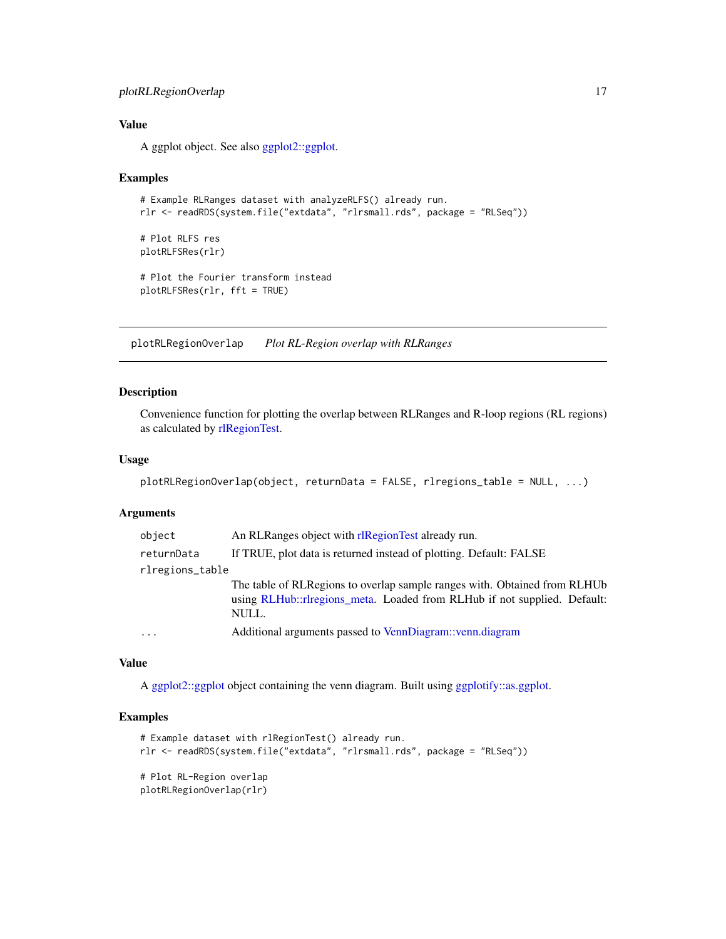## <span id="page-16-0"></span>plotRLRegionOverlap 17

## Value

A ggplot object. See also [ggplot2::ggplot.](#page-0-0)

#### Examples

```
# Example RLRanges dataset with analyzeRLFS() already run.
rlr <- readRDS(system.file("extdata", "rlrsmall.rds", package = "RLSeq"))
# Plot RLFS res
plotRLFSRes(rlr)
# Plot the Fourier transform instead
plotRLFSRes(rlr, fft = TRUE)
```
plotRLRegionOverlap *Plot RL-Region overlap with RLRanges*

## Description

Convenience function for plotting the overlap between RLRanges and R-loop regions (RL regions) as calculated by [rlRegionTest.](#page-21-1)

#### Usage

```
plotRLRegionOverlap(object, returnData = FALSE, rlregions_table = NULL, ...)
```
#### **Arguments**

| object          | An RLRanges object with rlRegionTest already run.                                                                                                              |
|-----------------|----------------------------------------------------------------------------------------------------------------------------------------------------------------|
| returnData      | If TRUE, plot data is returned instead of plotting. Default: FALSE                                                                                             |
| rlregions_table |                                                                                                                                                                |
|                 | The table of RLRegions to overlap sample ranges with. Obtained from RLHUb<br>using RLHub::rlregions meta. Loaded from RLHub if not supplied. Default:<br>NULL. |
| $\cdots$        | Additional arguments passed to VennDiagram::venn.diagram                                                                                                       |

#### Value

A [ggplot2::ggplot](#page-0-0) object containing the venn diagram. Built using [ggplotify::as.ggplot.](#page-0-0)

```
# Example dataset with rlRegionTest() already run.
rlr <- readRDS(system.file("extdata", "rlrsmall.rds", package = "RLSeq"))
# Plot RL-Region overlap
plotRLRegionOverlap(rlr)
```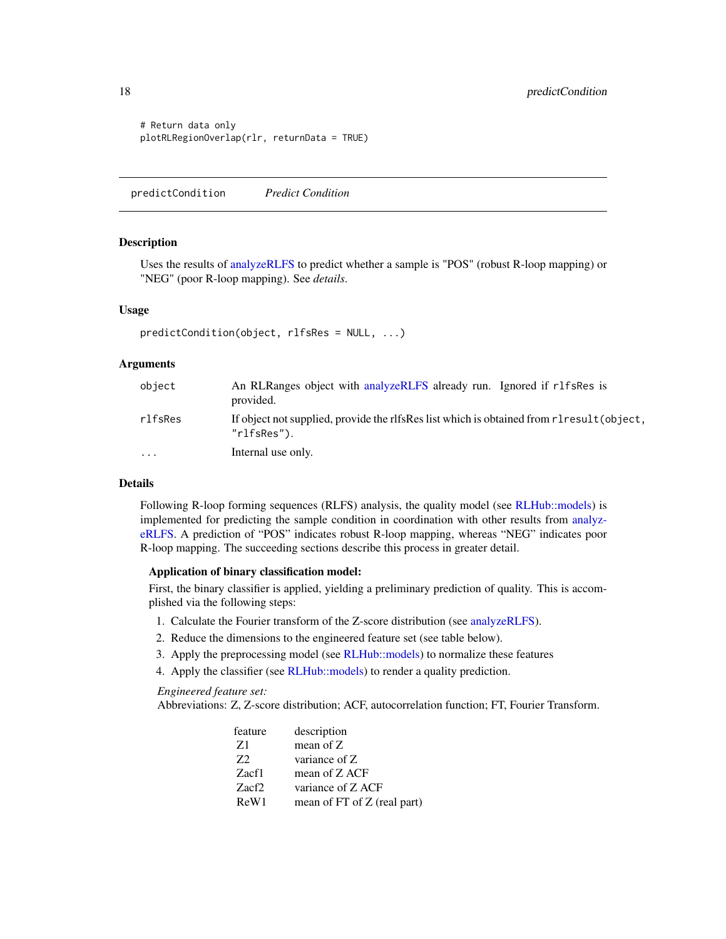```
# Return data only
plotRLRegionOverlap(rlr, returnData = TRUE)
```
<span id="page-17-1"></span>predictCondition *Predict Condition*

## **Description**

Uses the results of [analyzeRLFS](#page-2-1) to predict whether a sample is "POS" (robust R-loop mapping) or "NEG" (poor R-loop mapping). See *details*.

#### Usage

```
predictCondition(object, rlfsRes = NULL, ...)
```
#### **Arguments**

| object   | An RLRanges object with analyzeRLFS already run. Ignored if r1fsRes is<br>provided.                      |
|----------|----------------------------------------------------------------------------------------------------------|
| rlfsRes  | If object not supplied, provide the rlfsRes list which is obtained from r1result (object,<br>"rlfsRes"). |
| $\cdots$ | Internal use only.                                                                                       |

## Details

Following R-loop forming sequences (RLFS) analysis, the quality model (see [RLHub::models\)](#page-0-0) is implemented for predicting the sample condition in coordination with other results from [analyz](#page-2-1)[eRLFS.](#page-2-1) A prediction of "POS" indicates robust R-loop mapping, whereas "NEG" indicates poor R-loop mapping. The succeeding sections describe this process in greater detail.

#### Application of binary classification model:

First, the binary classifier is applied, yielding a preliminary prediction of quality. This is accomplished via the following steps:

- 1. Calculate the Fourier transform of the Z-score distribution (see [analyzeRLFS\)](#page-2-1).
- 2. Reduce the dimensions to the engineered feature set (see table below).
- 3. Apply the preprocessing model (see [RLHub::models\)](#page-0-0) to normalize these features
- 4. Apply the classifier (see [RLHub::models\)](#page-0-0) to render a quality prediction.

*Engineered feature set:*

Abbreviations: Z, Z-score distribution; ACF, autocorrelation function; FT, Fourier Transform.

| feature           | description                 |
|-------------------|-----------------------------|
| 71                | mean of $Z$                 |
| 72                | variance of Z               |
| Zacf1             | mean of Z ACF               |
| Zacf <sub>2</sub> | variance of Z ACF           |
| ReW1              | mean of FT of Z (real part) |

<span id="page-17-0"></span>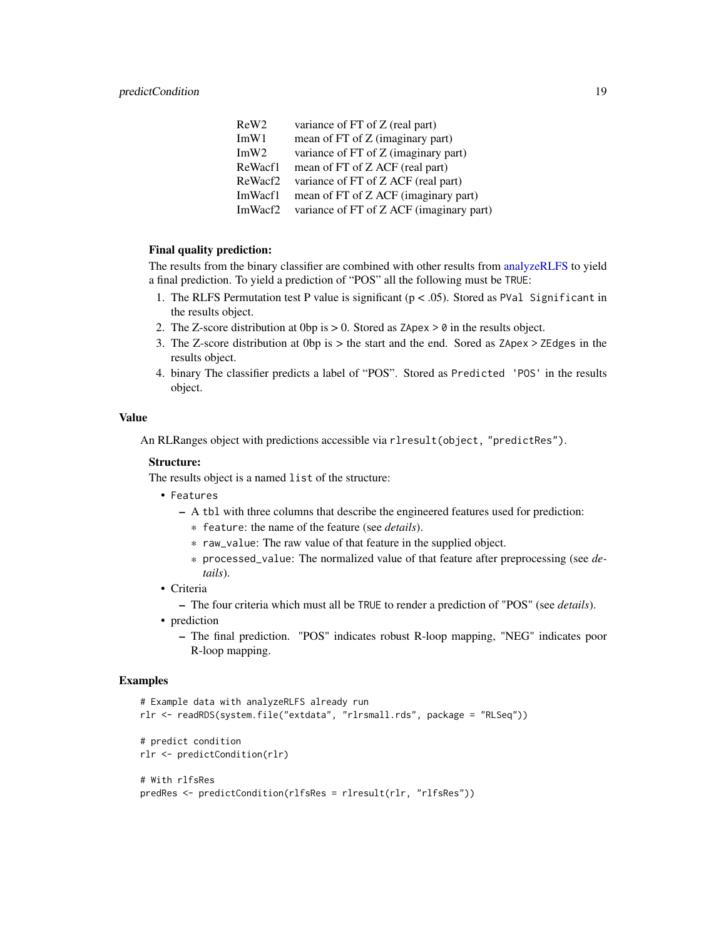<span id="page-18-0"></span>

| ReW2                | variance of FT of Z (real part)          |
|---------------------|------------------------------------------|
| ImW1                | mean of FT of Z (imaginary part)         |
| ImW2                | variance of FT of Z (imaginary part)     |
| ReWacf1             | mean of FT of Z ACF (real part)          |
| ReWacf2             | variance of FT of Z ACF (real part)      |
| ImWacf1             | mean of FT of Z ACF (imaginary part)     |
| ImWacf <sub>2</sub> | variance of FT of Z ACF (imaginary part) |
|                     |                                          |

#### Final quality prediction:

The results from the binary classifier are combined with other results from [analyzeRLFS](#page-2-1) to yield a final prediction. To yield a prediction of "POS" all the following must be TRUE:

- 1. The RLFS Permutation test P value is significant ( $p < .05$ ). Stored as PVal Significant in the results object.
- 2. The Z-score distribution at 0bp is  $> 0$ . Stored as ZApex  $> 0$  in the results object.
- 3. The Z-score distribution at 0bp is > the start and the end. Sored as ZApex > ZEdges in the results object.
- 4. binary The classifier predicts a label of "POS". Stored as Predicted 'POS' in the results object.

## Value

An RLRanges object with predictions accessible via rlresult(object, "predictRes").

#### Structure:

The results object is a named list of the structure:

- Features
	- A tbl with three columns that describe the engineered features used for prediction:
		- \* feature: the name of the feature (see *details*).
		- \* raw\_value: The raw value of that feature in the supplied object.
		- \* processed\_value: The normalized value of that feature after preprocessing (see *details*).
- Criteria
	- The four criteria which must all be TRUE to render a prediction of "POS" (see *details*).
- prediction
	- The final prediction. "POS" indicates robust R-loop mapping, "NEG" indicates poor R-loop mapping.

```
# Example data with analyzeRLFS already run
rlr <- readRDS(system.file("extdata", "rlrsmall.rds", package = "RLSeq"))
# predict condition
rlr <- predictCondition(rlr)
# With rlfsRes
predRes <- predictCondition(rlfsRes = rlresult(rlr, "rlfsRes"))
```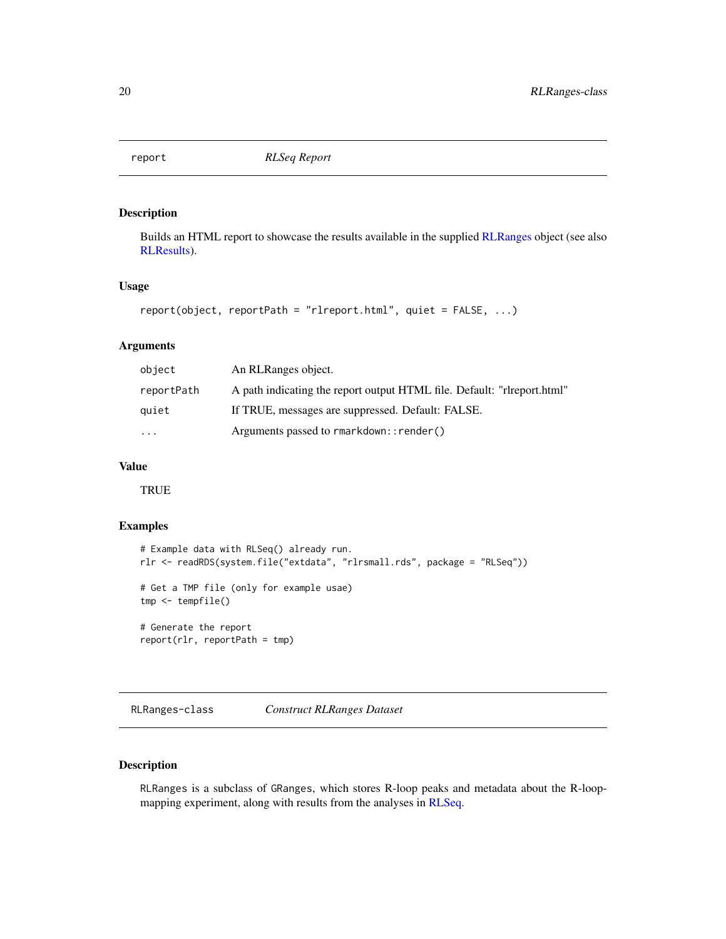<span id="page-19-0"></span>

## Description

Builds an HTML report to showcase the results available in the supplied [RLRanges](#page-19-1) object (see also [RLResults\)](#page-22-1).

## Usage

```
report(object, reportPath = "rlreport.html", quiet = FALSE, ...)
```
## Arguments

| object                  | An RLRanges object.                                                     |
|-------------------------|-------------------------------------------------------------------------|
| reportPath              | A path indicating the report output HTML file. Default: "rifeport.html" |
| quiet                   | If TRUE, messages are suppressed. Default: FALSE.                       |
| $\cdot$ $\cdot$ $\cdot$ | Arguments passed to rmarkdown:: render()                                |

#### Value

**TRUE** 

## Examples

```
# Example data with RLSeq() already run.
rlr <- readRDS(system.file("extdata", "rlrsmall.rds", package = "RLSeq"))
# Get a TMP file (only for example usae)
tmp <- tempfile()
# Generate the report
report(rlr, reportPath = tmp)
```
RLRanges-class *Construct RLRanges Dataset*

## <span id="page-19-1"></span>Description

RLRanges is a subclass of GRanges, which stores R-loop peaks and metadata about the R-loopmapping experiment, along with results from the analyses in [RLSeq.](#page-23-1)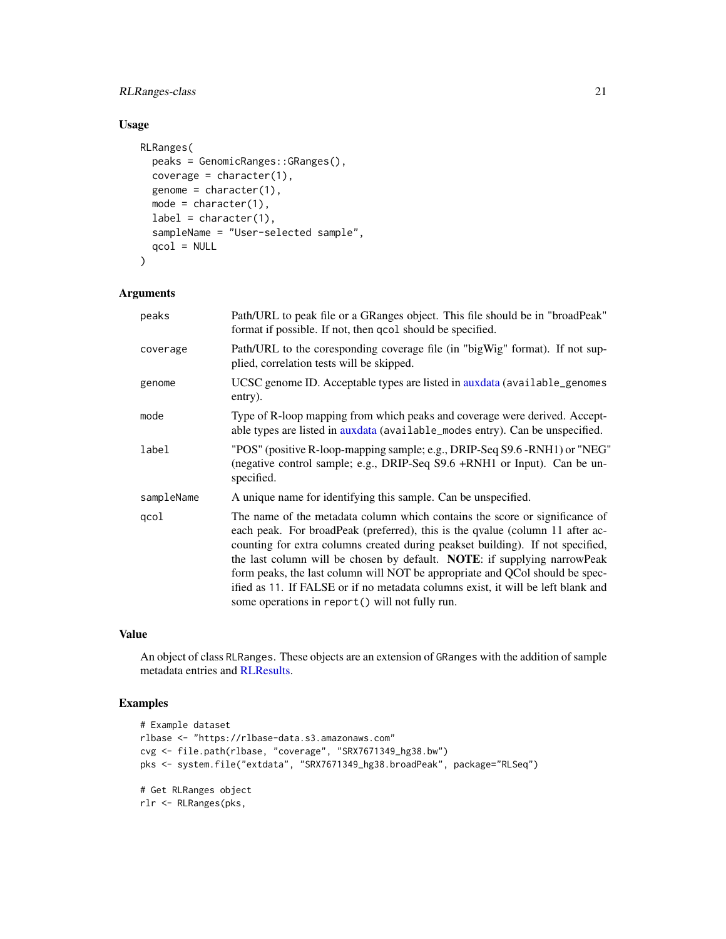## <span id="page-20-0"></span>RLRanges-class 21

## Usage

```
RLRanges(
  peaks = GenomicRanges::GRanges(),
  coverage = character(1),genome = character(1),
 mode = character(1),
 label = character(1),
  sampleName = "User-selected sample",
  qcol = NULL
\mathcal{L}
```
## Arguments

| peaks      | Path/URL to peak file or a GRanges object. This file should be in "broadPeak"<br>format if possible. If not, then qcol should be specified.                                                                                                                                                                                                                                                                                                                                                                                                        |
|------------|----------------------------------------------------------------------------------------------------------------------------------------------------------------------------------------------------------------------------------------------------------------------------------------------------------------------------------------------------------------------------------------------------------------------------------------------------------------------------------------------------------------------------------------------------|
| coverage   | Path/URL to the coresponding coverage file (in "bigWig" format). If not sup-<br>plied, correlation tests will be skipped.                                                                                                                                                                                                                                                                                                                                                                                                                          |
| genome     | UCSC genome ID. Acceptable types are listed in auxdata (available_genomes<br>entry).                                                                                                                                                                                                                                                                                                                                                                                                                                                               |
| mode       | Type of R-loop mapping from which peaks and coverage were derived. Accept-<br>able types are listed in auxdata (available_modes entry). Can be unspecified.                                                                                                                                                                                                                                                                                                                                                                                        |
| label      | "POS" (positive R-loop-mapping sample; e.g., DRIP-Seq S9.6 -RNH1) or "NEG"<br>(negative control sample; e.g., DRIP-Seq S9.6 +RNH1 or Input). Can be un-<br>specified.                                                                                                                                                                                                                                                                                                                                                                              |
| sampleName | A unique name for identifying this sample. Can be unspecified.                                                                                                                                                                                                                                                                                                                                                                                                                                                                                     |
| qcol       | The name of the metadata column which contains the score or significance of<br>each peak. For broadPeak (preferred), this is the qvalue (column 11 after ac-<br>counting for extra columns created during peakset building). If not specified,<br>the last column will be chosen by default. NOTE: if supplying narrowPeak<br>form peaks, the last column will NOT be appropriate and QCol should be spec-<br>ified as 11. If FALSE or if no metadata columns exist, it will be left blank and<br>some operations in report () will not fully run. |

## Value

An object of class RLRanges. These objects are an extension of GRanges with the addition of sample metadata entries and [RLResults.](#page-22-1)

```
# Example dataset
rlbase <- "https://rlbase-data.s3.amazonaws.com"
cvg <- file.path(rlbase, "coverage", "SRX7671349_hg38.bw")
pks <- system.file("extdata", "SRX7671349_hg38.broadPeak", package="RLSeq")
# Get RLRanges object
rlr <- RLRanges(pks,
```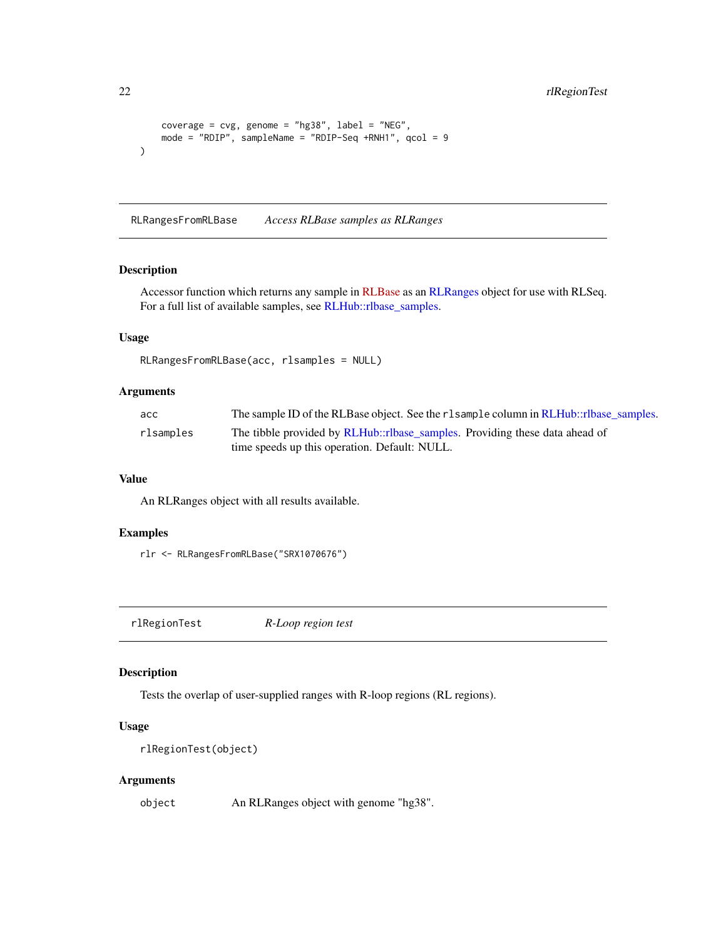```
coverage = cvg, genome = "hg38", label = "NEG",
   mode = "RDIP", sampleName = "RDIP-Seq +RNH1", qcol = 9
)
```
RLRangesFromRLBase *Access RLBase samples as RLRanges*

#### Description

Accessor function which returns any sample in [RLBase](https://gccri.bishop-lab.uthscsa.edu/rlbase/) as an [RLRanges](#page-19-1) object for use with RLSeq. For a full list of available samples, see [RLHub::rlbase\\_samples.](#page-0-0)

#### Usage

```
RLRangesFromRLBase(acc, rlsamples = NULL)
```
## Arguments

| acc       | The sample ID of the RLBase object. See the r1sample column in RLHub::rlbase samples. |
|-----------|---------------------------------------------------------------------------------------|
| rlsamples | The tibble provided by RLHub::rlbase_samples. Providing these data ahead of           |
|           | time speeds up this operation. Default: NULL.                                         |

#### Value

An RLRanges object with all results available.

## Examples

```
rlr <- RLRangesFromRLBase("SRX1070676")
```
<span id="page-21-1"></span>rlRegionTest *R-Loop region test*

## Description

Tests the overlap of user-supplied ranges with R-loop regions (RL regions).

#### Usage

```
rlRegionTest(object)
```
## Arguments

object An RLRanges object with genome "hg38".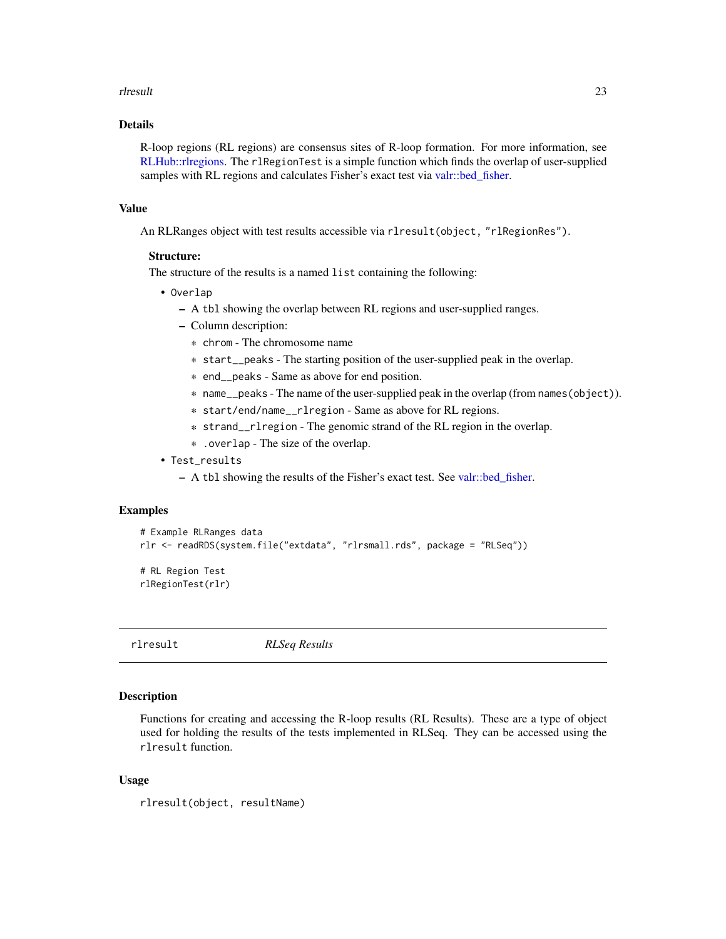#### <span id="page-22-0"></span>rlresult 23

## Details

R-loop regions (RL regions) are consensus sites of R-loop formation. For more information, see [RLHub::rlregions.](#page-0-0) The rlRegionTest is a simple function which finds the overlap of user-supplied samples with RL regions and calculates Fisher's exact test via [valr::bed\\_fisher.](#page-0-0)

## Value

An RLRanges object with test results accessible via rlresult(object, "rlRegionRes").

#### Structure:

The structure of the results is a named list containing the following:

- Overlap
	- A tbl showing the overlap between RL regions and user-supplied ranges.
	- Column description:
		- \* chrom The chromosome name
		- \* start\_\_peaks The starting position of the user-supplied peak in the overlap.
		- \* end\_\_peaks Same as above for end position.
		- \* name\_\_peaks The name of the user-supplied peak in the overlap (from names(object)).
		- \* start/end/name\_\_rlregion Same as above for RL regions.
		- \* strand\_\_rlregion The genomic strand of the RL region in the overlap.
		- \* .overlap The size of the overlap.
- Test results
	- A tbl showing the results of the Fisher's exact test. See [valr::bed\\_fisher.](#page-0-0)

#### Examples

```
# Example RLRanges data
rlr <- readRDS(system.file("extdata", "rlrsmall.rds", package = "RLSeq"))
# RL Region Test
rlRegionTest(rlr)
```
<span id="page-22-2"></span>

rlresult *RLSeq Results*

#### <span id="page-22-1"></span>Description

Functions for creating and accessing the R-loop results (RL Results). These are a type of object used for holding the results of the tests implemented in RLSeq. They can be accessed using the rlresult function.

## Usage

rlresult(object, resultName)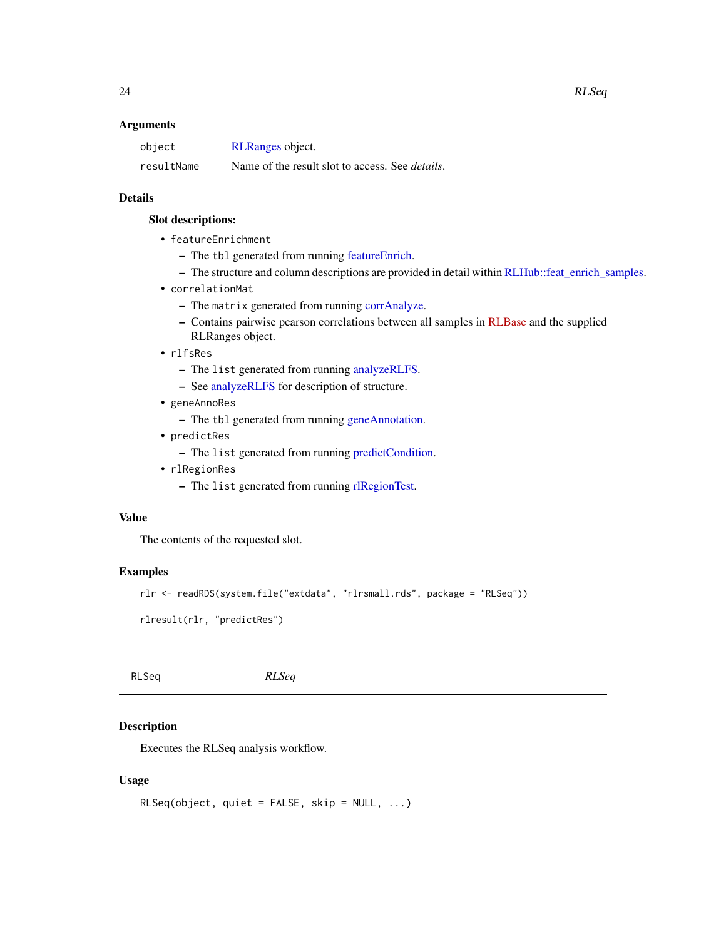#### <span id="page-23-0"></span>Arguments

| object     | <b>RLRanges</b> object.                                 |
|------------|---------------------------------------------------------|
| resultName | Name of the result slot to access. See <i>details</i> . |

## Details

#### Slot descriptions:

- featureEnrichment
	- The tbl generated from running [featureEnrich.](#page-8-2)
	- The structure and column descriptions are provided in detail within [RLHub::feat\\_enrich\\_samples.](#page-0-0)
- correlationMat
	- The matrix generated from running [corrAnalyze.](#page-6-1)
	- Contains pairwise pearson correlations between all samples in [RLBase](https://gccri.bishop-lab.uthscsa.edu/rlbase/) and the supplied RLRanges object.
- rlfsRes
	- The list generated from running [analyzeRLFS.](#page-2-1)
	- See [analyzeRLFS](#page-2-1) for description of structure.
- geneAnnoRes
	- The tbl generated from running [geneAnnotation.](#page-10-1)
- predictRes
	- The list generated from running [predictCondition.](#page-17-1)
- rlRegionRes
	- The list generated from running [rlRegionTest.](#page-21-1)

## Value

The contents of the requested slot.

#### Examples

```
rlr <- readRDS(system.file("extdata", "rlrsmall.rds", package = "RLSeq"))
```
rlresult(rlr, "predictRes")

<span id="page-23-1"></span>RLSeq *RLSeq*

## Description

Executes the RLSeq analysis workflow.

## Usage

```
RLSeq(object, quiet = FALSE, skip = NULL, ...)
```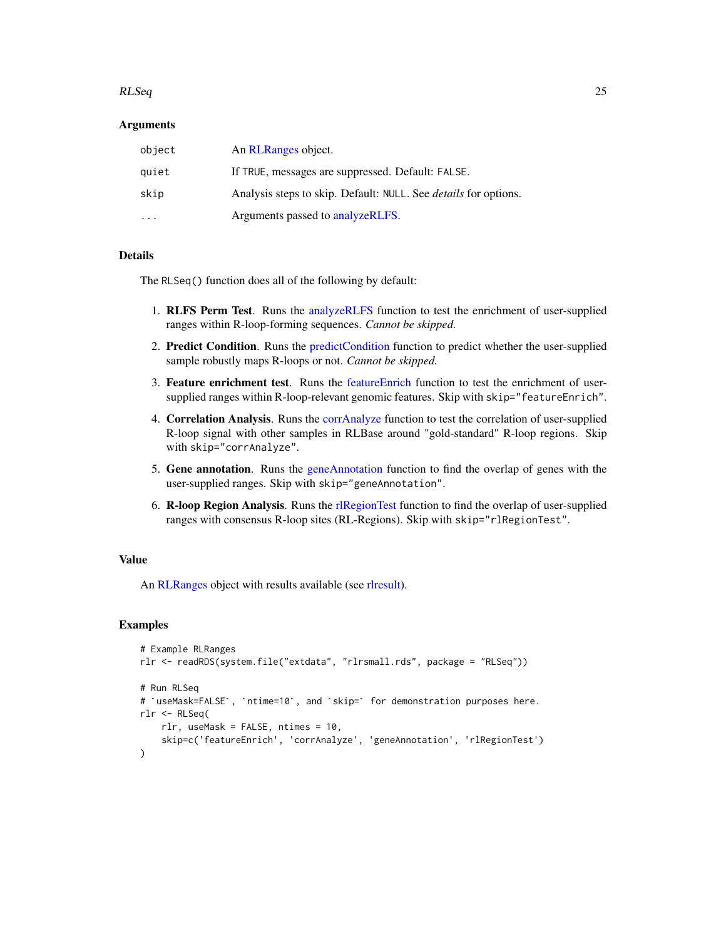#### <span id="page-24-0"></span>RLSeq 25

#### Arguments

| object   | An RLRanges object.                                                    |
|----------|------------------------------------------------------------------------|
| quiet    | If TRUE, messages are suppressed. Default: FALSE.                      |
| skip     | Analysis steps to skip. Default: NULL. See <i>details</i> for options. |
| $\cdots$ | Arguments passed to analyzeRLFS.                                       |

#### Details

The RLSeq() function does all of the following by default:

- 1. RLFS Perm Test. Runs the [analyzeRLFS](#page-2-1) function to test the enrichment of user-supplied ranges within R-loop-forming sequences. *Cannot be skipped.*
- 2. Predict Condition. Runs the [predictCondition](#page-17-1) function to predict whether the user-supplied sample robustly maps R-loops or not. *Cannot be skipped.*
- 3. Feature enrichment test. Runs the [featureEnrich](#page-8-2) function to test the enrichment of usersupplied ranges within R-loop-relevant genomic features. Skip with skip="featureEnrich".
- 4. Correlation Analysis. Runs the [corrAnalyze](#page-6-1) function to test the correlation of user-supplied R-loop signal with other samples in RLBase around "gold-standard" R-loop regions. Skip with skip="corrAnalyze".
- 5. Gene annotation. Runs the [geneAnnotation](#page-10-1) function to find the overlap of genes with the user-supplied ranges. Skip with skip="geneAnnotation".
- 6. R-loop Region Analysis. Runs the [rlRegionTest](#page-21-1) function to find the overlap of user-supplied ranges with consensus R-loop sites (RL-Regions). Skip with skip="rlRegionTest".

#### Value

An [RLRanges](#page-19-1) object with results available (see [rlresult\)](#page-22-2).

```
# Example RLRanges
rlr <- readRDS(system.file("extdata", "rlrsmall.rds", package = "RLSeq"))
# `useMask=FALSE`, `ntime=10`, and `skip=` for demonstration purposes here.
# Run RLSeq
rlr <- RLSeq(
     rlr, useMask = FALSE, ntimes = 10,
     skip=c('featureEnrich', 'corrAnalyze', 'geneAnnotation', 'rlRegionTest')
)
```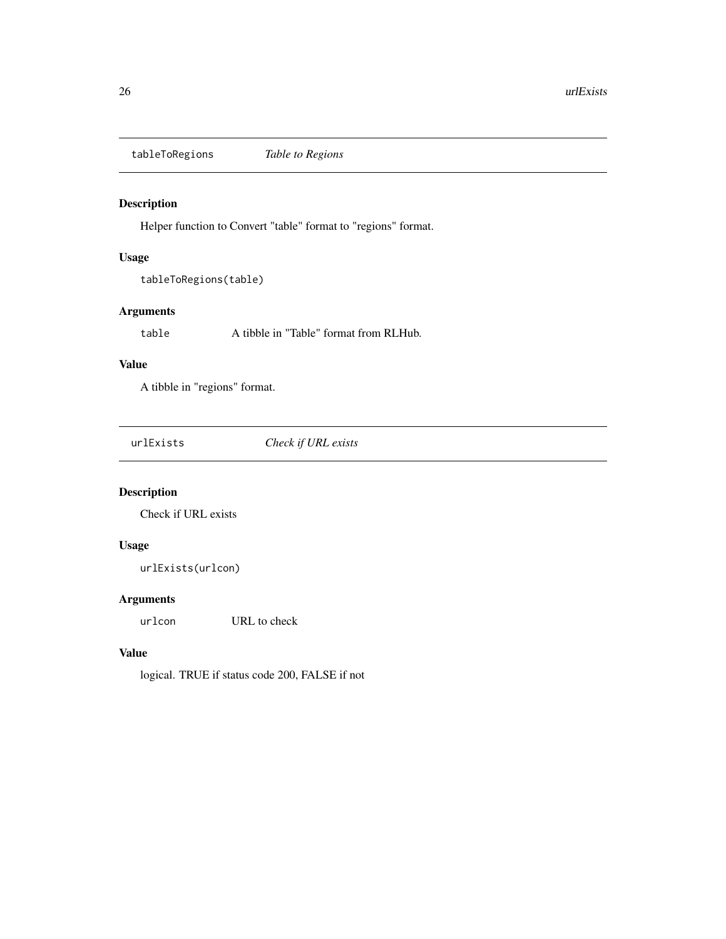<span id="page-25-0"></span>tableToRegions *Table to Regions*

## Description

Helper function to Convert "table" format to "regions" format.

## Usage

```
tableToRegions(table)
```
## Arguments

table A tibble in "Table" format from RLHub.

## Value

A tibble in "regions" format.

urlExists *Check if URL exists*

## Description

Check if URL exists

## Usage

urlExists(urlcon)

## Arguments

urlcon URL to check

## Value

logical. TRUE if status code 200, FALSE if not